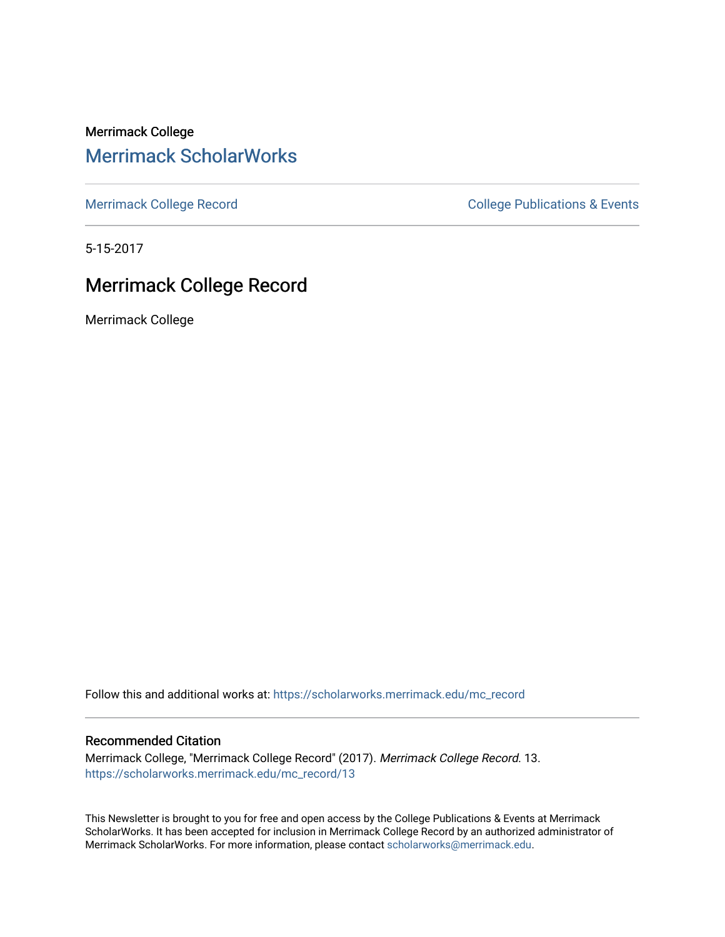Merrimack College [Merrimack ScholarWorks](https://scholarworks.merrimack.edu/) 

[Merrimack College Record](https://scholarworks.merrimack.edu/mc_record) **College Record** College Publications & Events

5-15-2017

### Merrimack College Record

Merrimack College

Follow this and additional works at: [https://scholarworks.merrimack.edu/mc\\_record](https://scholarworks.merrimack.edu/mc_record?utm_source=scholarworks.merrimack.edu%2Fmc_record%2F13&utm_medium=PDF&utm_campaign=PDFCoverPages) 

### Recommended Citation

Merrimack College, "Merrimack College Record" (2017). Merrimack College Record. 13. [https://scholarworks.merrimack.edu/mc\\_record/13](https://scholarworks.merrimack.edu/mc_record/13?utm_source=scholarworks.merrimack.edu%2Fmc_record%2F13&utm_medium=PDF&utm_campaign=PDFCoverPages)

This Newsletter is brought to you for free and open access by the College Publications & Events at Merrimack ScholarWorks. It has been accepted for inclusion in Merrimack College Record by an authorized administrator of Merrimack ScholarWorks. For more information, please contact [scholarworks@merrimack.edu](mailto:scholarworks@merrimack.edu).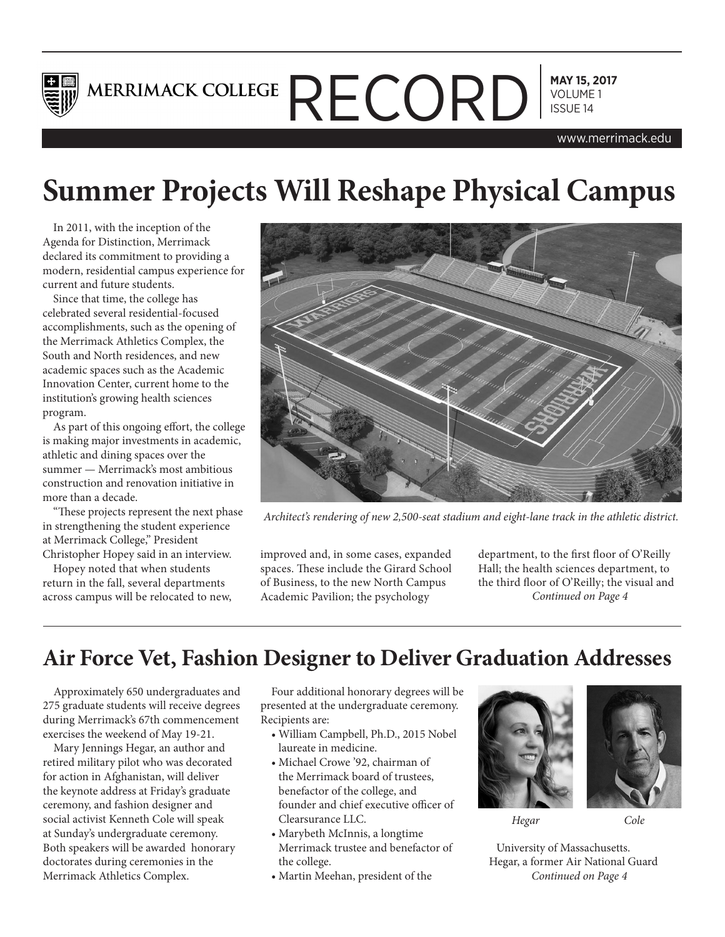

# **MAY 15, 2017** MERRIMACK COLLEGE  $\mathsf{RECHCORD}$  MAY 15, 20

www.merrimack.edu

# **Summer Projects Will Reshape Physical Campus**

In 2011, with the inception of the Agenda for Distinction, Merrimack declared its commitment to providing a modern, residential campus experience for current and future students.

Since that time, the college has celebrated several residential-focused accomplishments, such as the opening of the Merrimack Athletics Complex, the South and North residences, and new academic spaces such as the Academic Innovation Center, current home to the institution's growing health sciences program.

As part of this ongoing effort, the college is making major investments in academic, athletic and dining spaces over the summer — Merrimack's most ambitious construction and renovation initiative in more than a decade.

"These projects represent the next phase in strengthening the student experience at Merrimack College," President Christopher Hopey said in an interview.

Hopey noted that when students return in the fall, several departments across campus will be relocated to new,



*Architect's rendering of new 2,500-seat stadium and eight-lane track in the athletic district.*

improved and, in some cases, expanded spaces. These include the Girard School of Business, to the new North Campus Academic Pavilion; the psychology

department, to the first floor of O'Reilly Hall; the health sciences department, to the third floor of O'Reilly; the visual and *Continued on Page 4*

## **Air Force Vet, Fashion Designer to Deliver Graduation Addresses**

Approximately 650 undergraduates and 275 graduate students will receive degrees during Merrimack's 67th commencement exercises the weekend of May 19-21.

Mary Jennings Hegar, an author and retired military pilot who was decorated for action in Afghanistan, will deliver the keynote address at Friday's graduate ceremony, and fashion designer and social activist Kenneth Cole will speak at Sunday's undergraduate ceremony. Both speakers will be awarded honorary doctorates during ceremonies in the Merrimack Athletics Complex.

Four additional honorary degrees will be presented at the undergraduate ceremony. Recipients are:

- William Campbell, Ph.D., 2015 Nobel laureate in medicine.
- Michael Crowe '92, chairman of the Merrimack board of trustees, benefactor of the college, and founder and chief executive officer of Clearsurance LLC.
- Marybeth McInnis, a longtime Merrimack trustee and benefactor of the college.
- Martin Meehan, president of the



*Hegar*

*Cole*

University of Massachusetts. Hegar, a former Air National Guard *Continued on Page 4*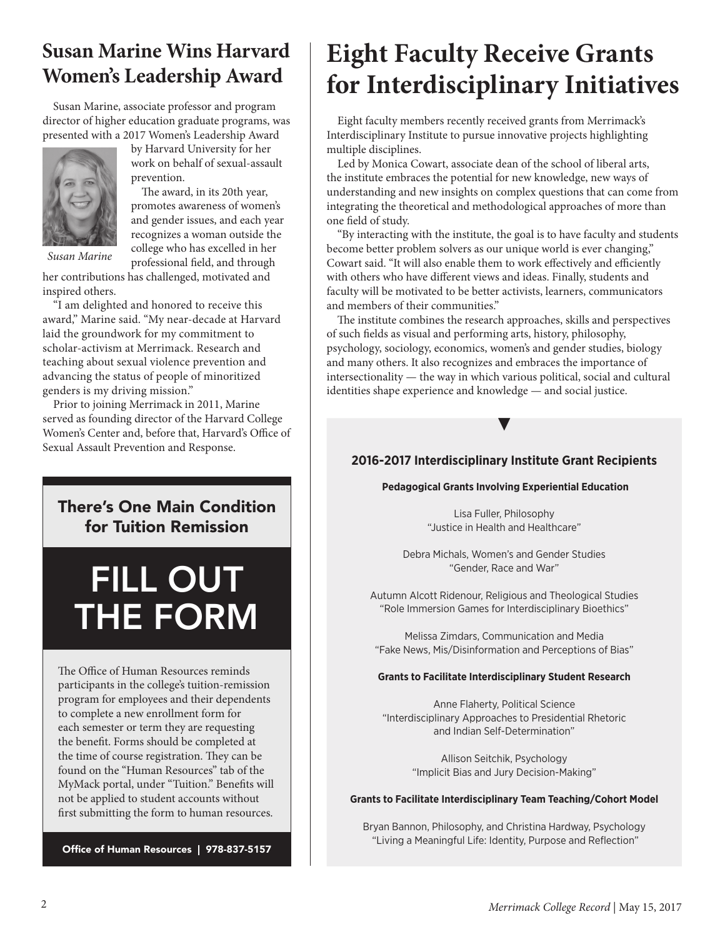## **Susan Marine Wins Harvard Women's Leadership Award**

Susan Marine, associate professor and program director of higher education graduate programs, was presented with a 2017 Women's Leadership Award



by Harvard University for her work on behalf of sexual-assault prevention.

The award, in its 20th year, promotes awareness of women's and gender issues, and each year recognizes a woman outside the college who has excelled in her professional field, and through

*Susan Marine*

her contributions has challenged, motivated and inspired others.

"I am delighted and honored to receive this award," Marine said. "My near-decade at Harvard laid the groundwork for my commitment to scholar-activism at Merrimack. Research and teaching about sexual violence prevention and advancing the status of people of minoritized genders is my driving mission."

Prior to joining Merrimack in 2011, Marine served as founding director of the Harvard College Women's Center and, before that, Harvard's Office of Sexual Assault Prevention and Response.

### There's One Main Condition for Tuition Remission

# FILL OUT THE FORM

The Office of Human Resources reminds participants in the college's tuition-remission program for employees and their dependents to complete a new enrollment form for each semester or term they are requesting the benefit. Forms should be completed at the time of course registration. They can be found on the "Human Resources" tab of the MyMack portal, under "Tuition." Benefits will not be applied to student accounts without first submitting the form to human resources.

Office of Human Resources | 978-837-5157

# **Eight Faculty Receive Grants for Interdisciplinary Initiatives**

Eight faculty members recently received grants from Merrimack's Interdisciplinary Institute to pursue innovative projects highlighting multiple disciplines.

Led by Monica Cowart, associate dean of the school of liberal arts, the institute embraces the potential for new knowledge, new ways of understanding and new insights on complex questions that can come from integrating the theoretical and methodological approaches of more than one field of study.

"By interacting with the institute, the goal is to have faculty and students become better problem solvers as our unique world is ever changing," Cowart said. "It will also enable them to work effectively and efficiently with others who have different views and ideas. Finally, students and faculty will be motivated to be better activists, learners, communicators and members of their communities."

The institute combines the research approaches, skills and perspectives of such fields as visual and performing arts, history, philosophy, psychology, sociology, economics, women's and gender studies, biology and many others. It also recognizes and embraces the importance of intersectionality — the way in which various political, social and cultural identities shape experience and knowledge — and social justice.

### **2016-2017 Interdisciplinary Institute Grant Recipients**

▶

### **Pedagogical Grants Involving Experiential Education**

Lisa Fuller, Philosophy "Justice in Health and Healthcare"

Debra Michals, Women's and Gender Studies "Gender, Race and War"

Autumn Alcott Ridenour, Religious and Theological Studies "Role Immersion Games for Interdisciplinary Bioethics"

Melissa Zimdars, Communication and Media "Fake News, Mis/Disinformation and Perceptions of Bias"

### **Grants to Facilitate Interdisciplinary Student Research**

Anne Flaherty, Political Science "Interdisciplinary Approaches to Presidential Rhetoric and Indian Self-Determination"

> Allison Seitchik, Psychology "Implicit Bias and Jury Decision-Making"

### **Grants to Facilitate Interdisciplinary Team Teaching/Cohort Model**

Bryan Bannon, Philosophy, and Christina Hardway, Psychology "Living a Meaningful Life: Identity, Purpose and Reflection"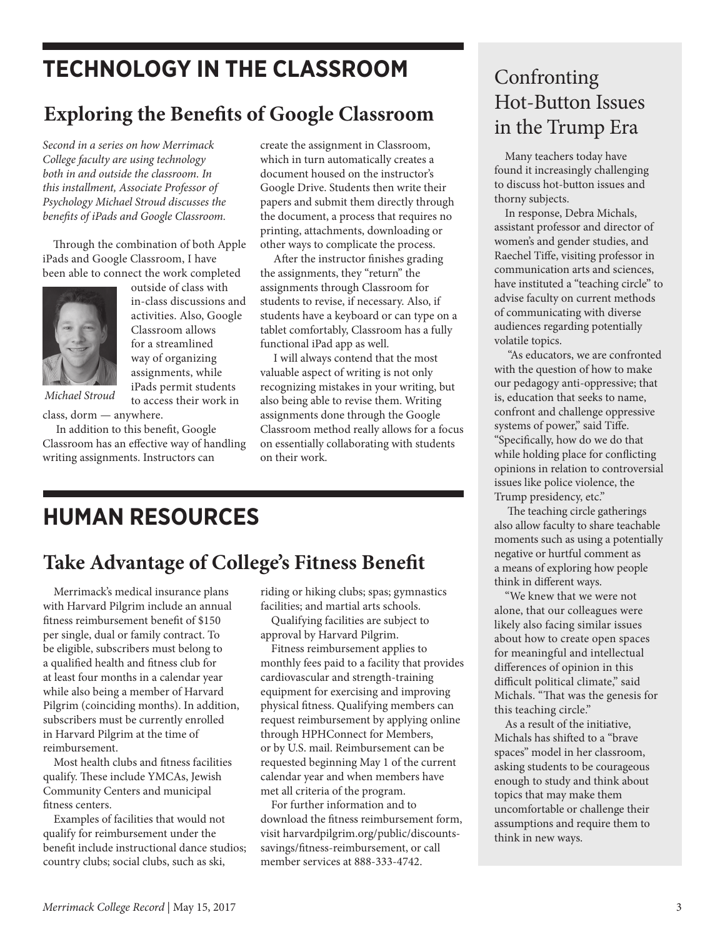# **TECHNOLOGY IN THE CLASSROOM**

# **Exploring the Benefits of Google Classroom**

*Second in a series on how Merrimack College faculty are using technology both in and outside the classroom. In this installment, Associate Professor of Psychology Michael Stroud discusses the benefits of iPads and Google Classroom.*

Through the combination of both Apple iPads and Google Classroom, I have been able to connect the work completed



outside of class with in-class discussions and activities. Also, Google Classroom allows for a streamlined way of organizing assignments, while iPads permit students to access their work in

*Michael Stroud*

class, dorm — anywhere. In addition to this benefit, Google Classroom has an effective way of handling writing assignments. Instructors can

create the assignment in Classroom, which in turn automatically creates a document housed on the instructor's Google Drive. Students then write their papers and submit them directly through the document, a process that requires no printing, attachments, downloading or other ways to complicate the process.

 After the instructor finishes grading the assignments, they "return" the assignments through Classroom for students to revise, if necessary. Also, if students have a keyboard or can type on a tablet comfortably, Classroom has a fully functional iPad app as well.

 I will always contend that the most valuable aspect of writing is not only recognizing mistakes in your writing, but also being able to revise them. Writing assignments done through the Google Classroom method really allows for a focus on essentially collaborating with students on their work.

# **HUMAN RESOURCES**

## **Take Advantage of College's Fitness Benefit**

Merrimack's medical insurance plans with Harvard Pilgrim include an annual fitness reimbursement benefit of \$150 per single, dual or family contract. To be eligible, subscribers must belong to a qualified health and fitness club for at least four months in a calendar year while also being a member of Harvard Pilgrim (coinciding months). In addition, subscribers must be currently enrolled in Harvard Pilgrim at the time of reimbursement.

Most health clubs and fitness facilities qualify. These include YMCAs, Jewish Community Centers and municipal fitness centers.

Examples of facilities that would not qualify for reimbursement under the benefit include instructional dance studios; country clubs; social clubs, such as ski,

riding or hiking clubs; spas; gymnastics facilities; and martial arts schools.

Qualifying facilities are subject to approval by Harvard Pilgrim.

Fitness reimbursement applies to monthly fees paid to a facility that provides cardiovascular and strength-training equipment for exercising and improving physical fitness. Qualifying members can request reimbursement by applying online through HPHConnect for Members, or by U.S. mail. Reimbursement can be requested beginning May 1 of the current calendar year and when members have met all criteria of the program.

For further information and to download the fitness reimbursement form, visit harvardpilgrim.org/public/discountssavings/fitness-reimbursement, or call member services at 888-333-4742.

### Confronting Hot-Button Issues in the Trump Era

Many teachers today have found it increasingly challenging to discuss hot-button issues and thorny subjects.

In response, Debra Michals, assistant professor and director of women's and gender studies, and Raechel Tiffe, visiting professor in communication arts and sciences, have instituted a "teaching circle" to advise faculty on current methods of communicating with diverse audiences regarding potentially volatile topics.

 "As educators, we are confronted with the question of how to make our pedagogy anti-oppressive; that is, education that seeks to name, confront and challenge oppressive systems of power," said Tiffe. "Specifically, how do we do that while holding place for conflicting opinions in relation to controversial issues like police violence, the Trump presidency, etc."

 The teaching circle gatherings also allow faculty to share teachable moments such as using a potentially negative or hurtful comment as a means of exploring how people think in different ways.

"We knew that we were not alone, that our colleagues were likely also facing similar issues about how to create open spaces for meaningful and intellectual differences of opinion in this difficult political climate," said Michals. "That was the genesis for this teaching circle."

As a result of the initiative, Michals has shifted to a "brave spaces" model in her classroom, asking students to be courageous enough to study and think about topics that may make them uncomfortable or challenge their assumptions and require them to think in new ways.